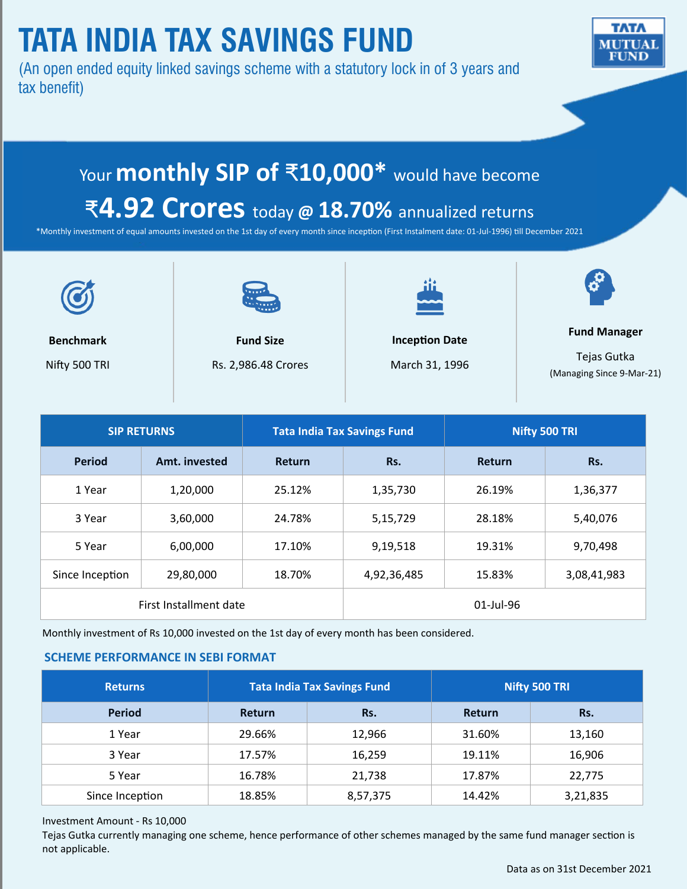# **TATA INDIA TAX SAVINGS FUND**

(An open ended equity linked savings scheme with a statutory lock in of 3 years and tax benefit)



# Your **monthly SIP of** ₹**10,000\*** would have become

## ₹**4.92 Crores** today **@ 18.70%** annualized returns

\*Monthly investment of equal amounts invested on the 1st day of every month since inception (First Instalment date: 01-Jul-1996) till December 2021



**Benchmark** Nifty 500 TRI

**Fund Size** Rs. 2,986.48 Crores



**Inception Date** March 31, 1996



**Fund Manager** 

Tejas Gutka (Managing Since 9-Mar-21)

| <b>SIP RETURNS</b>     |               | <b>Tata India Tax Savings Fund</b> |              | Nifty 500 TRI |             |
|------------------------|---------------|------------------------------------|--------------|---------------|-------------|
| <b>Period</b>          | Amt. invested | <b>Return</b>                      | Rs.          | Return        | Rs.         |
| 1 Year                 | 1,20,000      | 25.12%                             | 1,35,730     | 26.19%        | 1,36,377    |
| 3 Year                 | 3,60,000      | 24.78%                             | 5,15,729     | 28.18%        | 5,40,076    |
| 5 Year                 | 6,00,000      | 17.10%                             | 9,19,518     | 19.31%        | 9,70,498    |
| Since Inception        | 29,80,000     | 18.70%                             | 4,92,36,485  | 15.83%        | 3,08,41,983 |
| First Installment date |               |                                    | $01$ -Jul-96 |               |             |

Monthly investment of Rs 10,000 invested on the 1st day of every month has been considered.

### **SCHEME PERFORMANCE IN SEBI FORMAT**

| <b>Returns</b>  |               | <b>Tata India Tax Savings Fund</b> | Nifty 500 TRI |          |
|-----------------|---------------|------------------------------------|---------------|----------|
| <b>Period</b>   | <b>Return</b> | Rs.                                | Return        | Rs.      |
| 1 Year          | 29.66%        | 12,966                             | 31.60%        | 13,160   |
| 3 Year          | 17.57%        | 16,259                             | 19.11%        | 16,906   |
| 5 Year          | 16.78%        | 21,738                             | 17.87%        | 22,775   |
| Since Inception | 18.85%        | 8,57,375                           | 14.42%        | 3,21,835 |

### Investment Amount - Rs 10,000

Tejas Gutka currently managing one scheme, hence performance of other schemes managed by the same fund manager section is not applicable.